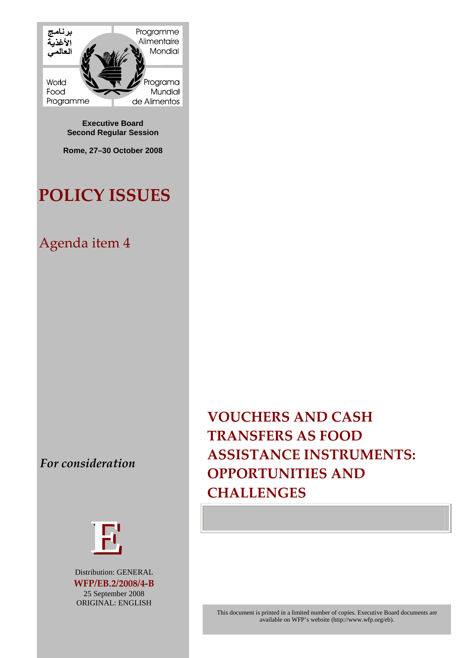

**Executive Board Second Regular Session** 

**Rome, 27–30 October 2008** 

# **POLICY ISSUES**

## Agenda item 4

For consideration



Distribution: GENERAL WFP/EB.2/2008/4-B 25 September 2008 ORIGINAL: ENGLISH

**VOUCHERS AND CASH**  $\sqrt{\text{TRANSFERS}}$  AS FOOD **ASSISTANCE INSTRUMENTS: OPPORTUNITIES AND** 

This document is printed in a limited number of copies. Executive Board documents are available on WFP's website (http://www.wfp.org/eb).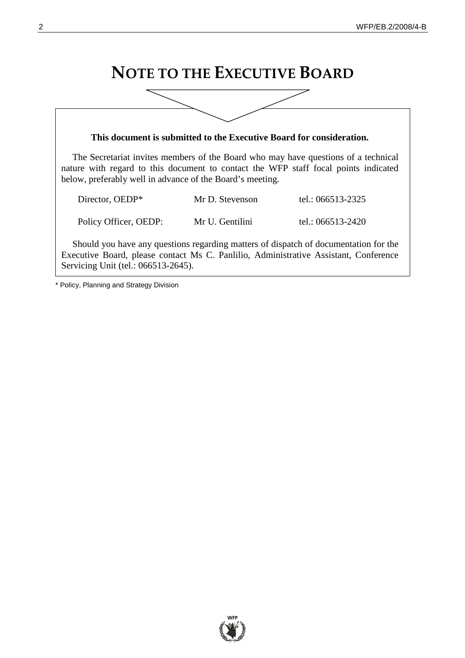## **NOTE TO THE EXECUTIVE BOARD**

| This document is submitted to the Executive Board for consideration.                                                                                                                                                                   |                 |                   |
|----------------------------------------------------------------------------------------------------------------------------------------------------------------------------------------------------------------------------------------|-----------------|-------------------|
| The Secretariat invites members of the Board who may have questions of a technical<br>nature with regard to this document to contact the WFP staff focal points indicated<br>below, preferably well in advance of the Board's meeting. |                 |                   |
| Director, OEDP*                                                                                                                                                                                                                        | Mr D. Stevenson | tel.: 066513-2325 |
| Policy Officer, OEDP:                                                                                                                                                                                                                  | Mr U. Gentilini | tel.: 066513-2420 |
| Should you have any questions regarding matters of dispatch of documentation for the<br>Executive Board, please contact Ms C. Panlilio, Administrative Assistant, Conference<br>Servicing Unit (tel.: 066513-2645).                    |                 |                   |

\* Policy, Planning and Strategy Division

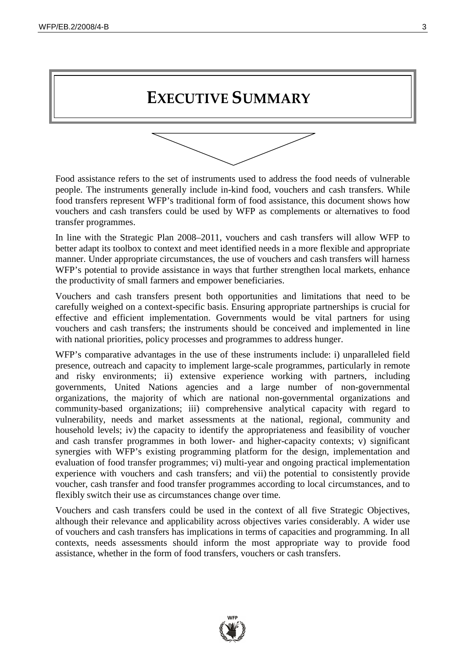## **EXECUTIVE SUMMARY**



Food assistance refers to the set of instruments used to address the food needs of vulnerable people. The instruments generally include in-kind food, vouchers and cash transfers. While food transfers represent WFP's traditional form of food assistance, this document shows how vouchers and cash transfers could be used by WFP as complements or alternatives to food transfer programmes.

In line with the Strategic Plan 2008–2011, vouchers and cash transfers will allow WFP to better adapt its toolbox to context and meet identified needs in a more flexible and appropriate manner. Under appropriate circumstances, the use of vouchers and cash transfers will harness WFP's potential to provide assistance in ways that further strengthen local markets, enhance the productivity of small farmers and empower beneficiaries.

Vouchers and cash transfers present both opportunities and limitations that need to be carefully weighed on a context-specific basis. Ensuring appropriate partnerships is crucial for effective and efficient implementation. Governments would be vital partners for using vouchers and cash transfers; the instruments should be conceived and implemented in line with national priorities, policy processes and programmes to address hunger.

WFP's comparative advantages in the use of these instruments include: i) unparalleled field presence, outreach and capacity to implement large-scale programmes, particularly in remote and risky environments; ii) extensive experience working with partners, including governments, United Nations agencies and a large number of non-governmental organizations, the majority of which are national non-governmental organizations and community-based organizations; iii) comprehensive analytical capacity with regard to vulnerability, needs and market assessments at the national, regional, community and household levels; iv) the capacity to identify the appropriateness and feasibility of voucher and cash transfer programmes in both lower- and higher-capacity contexts; v) significant synergies with WFP's existing programming platform for the design, implementation and evaluation of food transfer programmes; vi) multi-year and ongoing practical implementation experience with vouchers and cash transfers; and vii) the potential to consistently provide voucher, cash transfer and food transfer programmes according to local circumstances, and to flexibly switch their use as circumstances change over time.

Vouchers and cash transfers could be used in the context of all five Strategic Objectives, although their relevance and applicability across objectives varies considerably. A wider use of vouchers and cash transfers has implications in terms of capacities and programming. In all contexts, needs assessments should inform the most appropriate way to provide food assistance, whether in the form of food transfers, vouchers or cash transfers.

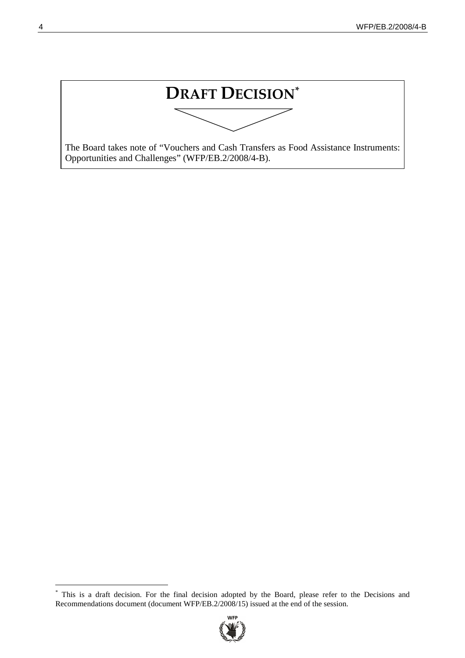DRAFT DECISION\*

The Board takes note of "Vouchers and Cash Transfers as Food Assistance Instruments: Opportunities and Challenges" (WFP/EB.2/2008/4-B).

This is a draft decision. For the final decision adopted by the Board, please refer to the Decisions and Recommendations document (document WFP/EB.2/2008/15) issued at the end of the session.

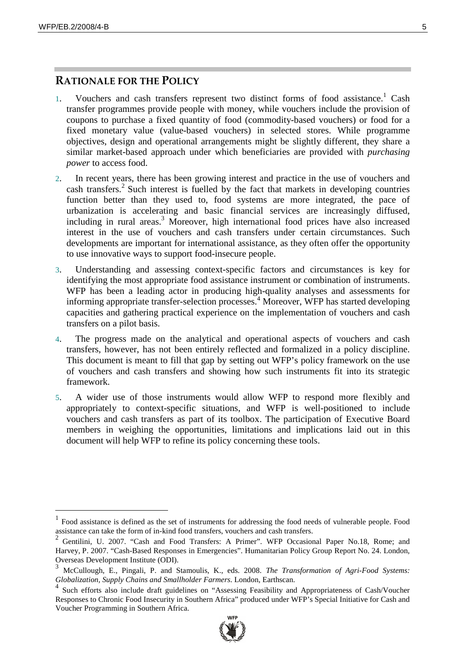#### $\blacksquare$  Rationale for the Policy

- 1. Vouchers and cash transfers represent two distinct forms of food assistance.<sup>1</sup> Cash transfer programmes provide people with money, while vouchers include the provision of coupons to purchase a fixed quantity of food (commodity-based vouchers) or food for a fixed monetary value (value-based vouchers) in selected stores. While programme objectives, design and operational arrangements might be slightly different, they share a similar market-based approach under which beneficiaries are provided with *purchasing power* to access food.
- 2. In recent years, there has been growing interest and practice in the use of vouchers and cash transfers.<sup>2</sup> Such interest is fuelled by the fact that markets in developing countries function better than they used to, food systems are more integrated, the pace of urbanization is accelerating and basic financial services are increasingly diffused, including in rural areas.<sup>3</sup> Moreover, high international food prices have also increased interest in the use of vouchers and cash transfers under certain circumstances. Such developments are important for international assistance, as they often offer the opportunity to use innovative ways to support food-insecure people.
- 3. Understanding and assessing context-specific factors and circumstances is key for identifying the most appropriate food assistance instrument or combination of instruments. WFP has been a leading actor in producing high-quality analyses and assessments for informing appropriate transfer-selection processes.<sup>4</sup> Moreover, WFP has started developing capacities and gathering practical experience on the implementation of vouchers and cash transfers on a pilot basis.
- 4. The progress made on the analytical and operational aspects of vouchers and cash transfers, however, has not been entirely reflected and formalized in a policy discipline. This document is meant to fill that gap by setting out WFP's policy framework on the use of vouchers and cash transfers and showing how such instruments fit into its strategic framework.
- 5. A wider use of those instruments would allow WFP to respond more flexibly and appropriately to context-specific situations, and WFP is well-positioned to include vouchers and cash transfers as part of its toolbox. The participation of Executive Board members in weighing the opportunities, limitations and implications laid out in this document will help WFP to refine its policy concerning these tools.

Such efforts also include draft guidelines on "Assessing Feasibility and Appropriateness of Cash/Voucher Responses to Chronic Food Insecurity in Southern Africa" produced under WFP's Special Initiative for Cash and Voucher Programming in Southern Africa.



 $<sup>1</sup>$  Food assistance is defined as the set of instruments for addressing the food needs of vulnerable people. Food</sup> assistance can take the form of in-kind food transfers, vouchers and cash transfers.

<sup>2</sup> Gentilini, U. 2007. "Cash and Food Transfers: A Primer". WFP Occasional Paper No.18, Rome; and Harvey, P. 2007. "Cash-Based Responses in Emergencies". Humanitarian Policy Group Report No. 24. London, Overseas Development Institute (ODI).

<sup>3</sup> McCullough, E., Pingali, P. and Stamoulis, K., eds. 2008. *The Transformation of Agri-Food Systems: Globalization, Supply Chains and Smallholder Farmers*. London, Earthscan.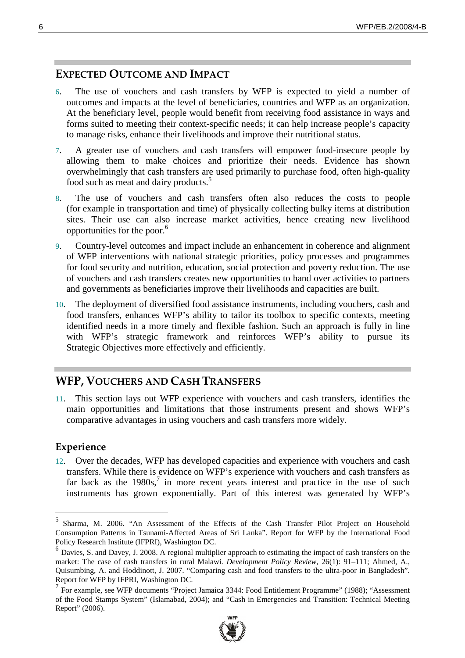## **EXPECTED OUTCOME AND IMPACT**

- 6. The use of vouchers and cash transfers by WFP is expected to yield a number of outcomes and impacts at the level of beneficiaries, countries and WFP as an organization. At the beneficiary level, people would benefit from receiving food assistance in ways and forms suited to meeting their context-specific needs; it can help increase people's capacity to manage risks, enhance their livelihoods and improve their nutritional status.
- 7. A greater use of vouchers and cash transfers will empower food-insecure people by allowing them to make choices and prioritize their needs. Evidence has shown overwhelmingly that cash transfers are used primarily to purchase food, often high-quality food such as meat and dairy products.<sup>5</sup>
- 8. The use of vouchers and cash transfers often also reduces the costs to people (for example in transportation and time) of physically collecting bulky items at distribution sites. Their use can also increase market activities, hence creating new livelihood opportunities for the poor.6
- 9. Country-level outcomes and impact include an enhancement in coherence and alignment of WFP interventions with national strategic priorities, policy processes and programmes for food security and nutrition, education, social protection and poverty reduction. The use of vouchers and cash transfers creates new opportunities to hand over activities to partners and governments as beneficiaries improve their livelihoods and capacities are built.
- 10. The deployment of diversified food assistance instruments, including vouchers, cash and food transfers, enhances WFP's ability to tailor its toolbox to specific contexts, meeting identified needs in a more timely and flexible fashion. Such an approach is fully in line with WFP's strategic framework and reinforces WFP's ability to pursue its Strategic Objectives more effectively and efficiently.

## **WFP, VOUCHERS AND CASH TRANSFERS**

11. This section lays out WFP experience with vouchers and cash transfers, identifies the main opportunities and limitations that those instruments present and shows WFP's comparative advantages in using vouchers and cash transfers more widely.

#### ${\rm Experience}$

12. Over the decades, WFP has developed capacities and experience with vouchers and cash transfers. While there is evidence on WFP's experience with vouchers and cash transfers as far back as the  $1980s$ ,<sup>7</sup> in more recent years interest and practice in the use of such instruments has grown exponentially. Part of this interest was generated by WFP's

<sup>7</sup> For example, see WFP documents "Project Jamaica 3344: Food Entitlement Programme" (1988); "Assessment of the Food Stamps System" (Islamabad, 2004); and "Cash in Emergencies and Transition: Technical Meeting Report" (2006).



<sup>5</sup> Sharma, M. 2006. "An Assessment of the Effects of the Cash Transfer Pilot Project on Household Consumption Patterns in Tsunami-Affected Areas of Sri Lanka". Report for WFP by the International Food Policy Research Institute (IFPRI), Washington DC.

 $6$  Davies, S. and Davey, J. 2008. A regional multiplier approach to estimating the impact of cash transfers on the market: The case of cash transfers in rural Malawi. *Development Policy Review*, 26(1): 91–111; Ahmed, A., Quisumbing, A. and Hoddinott, J. 2007. "Comparing cash and food transfers to the ultra-poor in Bangladesh". Report for WFP by IFPRI, Washington DC.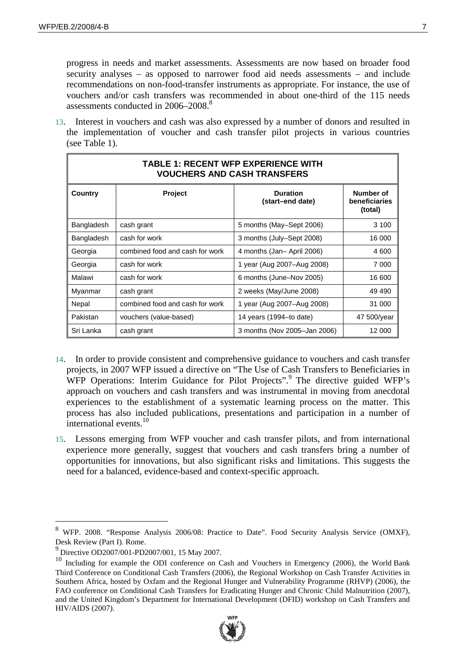progress in needs and market assessments. Assessments are now based on broader food security analyses – as opposed to narrower food aid needs assessments – and include recommendations on non-food-transfer instruments as appropriate. For instance, the use of vouchers and/or cash transfers was recommended in about one-third of the 115 needs assessments conducted in 2006–2008.<sup>8</sup>

13. Interest in vouchers and cash was also expressed by a number of donors and resulted in the implementation of voucher and cash transfer pilot projects in various countries (see Table 1).

| <b>TABLE 1: RECENT WFP EXPERIENCE WITH</b><br><b>VOUCHERS AND CASH TRANSFERS</b> |                                 |                                     |                                       |
|----------------------------------------------------------------------------------|---------------------------------|-------------------------------------|---------------------------------------|
| Country                                                                          | <b>Project</b>                  | <b>Duration</b><br>(start-end date) | Number of<br>beneficiaries<br>(total) |
| Bangladesh                                                                       | cash grant                      | 5 months (May-Sept 2006)            | 3 100                                 |
| Bangladesh                                                                       | cash for work                   | 3 months (July-Sept 2008)           | 16 000                                |
| Georgia                                                                          | combined food and cash for work | 4 months (Jan-April 2006)           | 4 600                                 |
| Georgia                                                                          | cash for work                   | 1 year (Aug 2007–Aug 2008)          | 7 000                                 |
| Malawi                                                                           | cash for work                   | 6 months (June-Nov 2005)            | 16 600                                |
| Myanmar                                                                          | cash grant                      | 2 weeks (May/June 2008)             | 49 490                                |
| Nepal                                                                            | combined food and cash for work | 1 year (Aug 2007-Aug 2008)          | 31 000                                |
| Pakistan                                                                         | vouchers (value-based)          | 14 years (1994–to date)             | 47 500/year                           |
| Sri Lanka                                                                        | cash grant                      | 3 months (Nov 2005-Jan 2006)        | 12 000                                |

- 14. In order to provide consistent and comprehensive guidance to vouchers and cash transfer projects, in 2007 WFP issued a directive on "The Use of Cash Transfers to Beneficiaries in WFP Operations: Interim Guidance for Pilot Projects".<sup>9</sup> The directive guided WFP's approach on vouchers and cash transfers and was instrumental in moving from anecdotal experiences to the establishment of a systematic learning process on the matter. This process has also included publications, presentations and participation in a number of international events.<sup>10</sup>
- 15. Lessons emerging from WFP voucher and cash transfer pilots, and from international experience more generally, suggest that vouchers and cash transfers bring a number of opportunities for innovations, but also significant risks and limitations. This suggests the need for a balanced, evidence-based and context-specific approach.

<sup>&</sup>lt;sup>10</sup> Including for example the ODI conference on Cash and Vouchers in Emergency (2006), the World Bank Third Conference on Conditional Cash Transfers (2006), the Regional Workshop on Cash Transfer Activities in Southern Africa, hosted by Oxfam and the Regional Hunger and Vulnerability Programme (RHVP) (2006), the FAO conference on Conditional Cash Transfers for Eradicating Hunger and Chronic Child Malnutrition (2007), and the United Kingdom's Department for International Development (DFID) workshop on Cash Transfers and HIV/AIDS (2007).



<sup>8</sup> WFP. 2008. "Response Analysis 2006/08: Practice to Date". Food Security Analysis Service (OMXF), Desk Review (Part I). Rome.

<sup>9</sup> Directive OD2007/001-PD2007/001, 15 May 2007.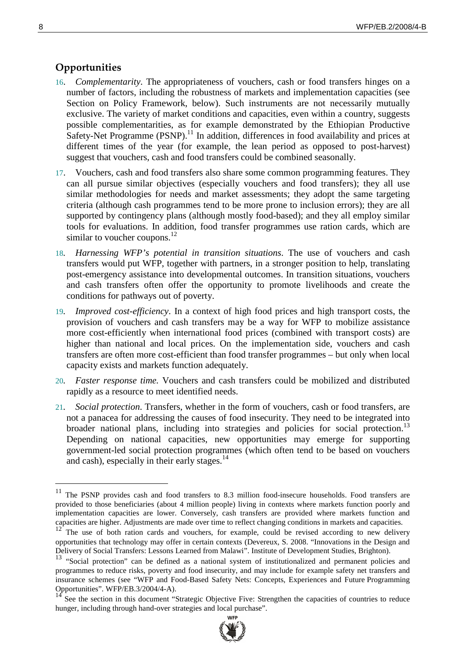#### **Opportunities**

- 16. *Complementarity*. The appropriateness of vouchers, cash or food transfers hinges on a number of factors, including the robustness of markets and implementation capacities (see Section on Policy Framework, below). Such instruments are not necessarily mutually exclusive. The variety of market conditions and capacities, even within a country, suggests possible complementarities, as for example demonstrated by the Ethiopian Productive Safety-Net Programme  $(PSNP)$ .<sup>11</sup> In addition, differences in food availability and prices at different times of the year (for example, the lean period as opposed to post-harvest) suggest that vouchers, cash and food transfers could be combined seasonally.
- 17. Vouchers, cash and food transfers also share some common programming features. They can all pursue similar objectives (especially vouchers and food transfers); they all use similar methodologies for needs and market assessments; they adopt the same targeting criteria (although cash programmes tend to be more prone to inclusion errors); they are all supported by contingency plans (although mostly food-based); and they all employ similar tools for evaluations. In addition, food transfer programmes use ration cards, which are similar to voucher coupons. $^{12}$
- 18*. Harnessing WFP's potential in transition situations*. The use of vouchers and cash transfers would put WFP, together with partners, in a stronger position to help, translating post-emergency assistance into developmental outcomes. In transition situations, vouchers and cash transfers often offer the opportunity to promote livelihoods and create the conditions for pathways out of poverty.
- 19*. Improved cost-efficiency*. In a context of high food prices and high transport costs, the provision of vouchers and cash transfers may be a way for WFP to mobilize assistance more cost-efficiently when international food prices (combined with transport costs) are higher than national and local prices. On the implementation side, vouchers and cash transfers are often more cost-efficient than food transfer programmes – but only when local capacity exists and markets function adequately.
- 20*. Faster response time.* Vouchers and cash transfers could be mobilized and distributed rapidly as a resource to meet identified needs.
- 21*. Social protection*. Transfers, whether in the form of vouchers, cash or food transfers, are not a panacea for addressing the causes of food insecurity. They need to be integrated into broader national plans, including into strategies and policies for social protection.<sup>13</sup> Depending on national capacities, new opportunities may emerge for supporting government-led social protection programmes (which often tend to be based on vouchers and cash), especially in their early stages. $14$

<sup>14</sup> See the section in this document "Strategic Objective Five: Strengthen the capacities of countries to reduce hunger, including through hand-over strategies and local purchase".



<sup>&</sup>lt;sup>11</sup> The PSNP provides cash and food transfers to 8.3 million food-insecure households. Food transfers are provided to those beneficiaries (about 4 million people) living in contexts where markets function poorly and implementation capacities are lower. Conversely, cash transfers are provided where markets function and capacities are higher. Adjustments are made over time to reflect changing conditions in markets and capacities.

 $12^{\circ}$  The use of both ration cards and vouchers, for example, could be revised according to new delivery opportunities that technology may offer in certain contexts (Devereux, S. 2008. "Innovations in the Design and Delivery of Social Transfers: Lessons Learned from Malawi". Institute of Development Studies, Brighton).

<sup>&</sup>lt;sup>13</sup> "Social protection" can be defined as a national system of institutionalized and permanent policies and programmes to reduce risks, poverty and food insecurity, and may include for example safety net transfers and insurance schemes (see "WFP and Food-Based Safety Nets: Concepts, Experiences and Future Programming Opportunities". WFP/EB.3/2004/4-A).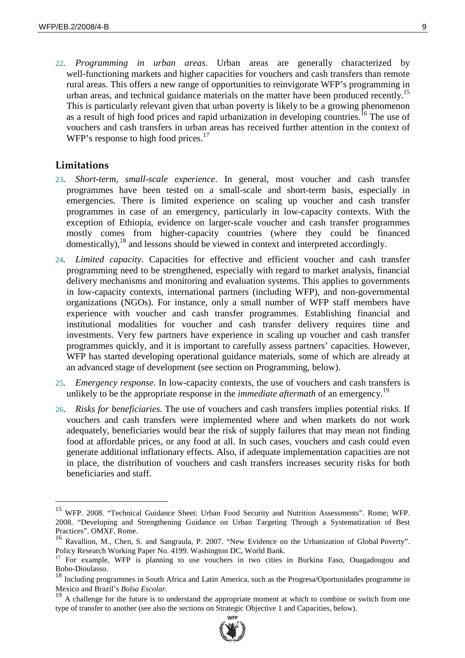22*. Programming in urban areas*. Urban areas are generally characterized by well-functioning markets and higher capacities for vouchers and cash transfers than remote rural areas. This offers a new range of opportunities to reinvigorate WFP's programming in urban areas, and technical guidance materials on the matter have been produced recently.<sup>15</sup> This is particularly relevant given that urban poverty is likely to be a growing phenomenon as a result of high food prices and rapid urbanization in developing countries.<sup>16</sup> The use of vouchers and cash transfers in urban areas has received further attention in the context of WFP's response to high food prices.<sup>17</sup>

#### **Limitations**

- 23*. Short-term, small-scale experience*. In general, most voucher and cash transfer programmes have been tested on a small-scale and short-term basis, especially in emergencies. There is limited experience on scaling up voucher and cash transfer programmes in case of an emergency, particularly in low-capacity contexts. With the exception of Ethiopia, evidence on larger-scale voucher and cash transfer programmes mostly comes from higher-capacity countries (where they could be financed domestically),<sup>18</sup> and lessons should be viewed in context and interpreted accordingly.
- 24*. Limited capacity*. Capacities for effective and efficient voucher and cash transfer programming need to be strengthened, especially with regard to market analysis, financial delivery mechanisms and monitoring and evaluation systems. This applies to governments in low-capacity contexts, international partners (including WFP), and non-governmental organizations (NGOs). For instance, only a small number of WFP staff members have experience with voucher and cash transfer programmes. Establishing financial and institutional modalities for voucher and cash transfer delivery requires time and investments. Very few partners have experience in scaling up voucher and cash transfer programmes quickly, and it is important to carefully assess partners' capacities. However, WFP has started developing operational guidance materials, some of which are already at an advanced stage of development (see section on Programming, below).
- 25*. Emergency response*. In low-capacity contexts, the use of vouchers and cash transfers is unlikely to be the appropriate response in the *immediate aftermath* of an emergency.<sup>19</sup>
- 26. *Risks for beneficiaries.* The use of vouchers and cash transfers implies potential risks. If vouchers and cash transfers were implemented where and when markets do not work adequately, beneficiaries would bear the risk of supply failures that may mean not finding food at affordable prices, or any food at all. In such cases, vouchers and cash could even generate additional inflationary effects. Also, if adequate implementation capacities are not in place, the distribution of vouchers and cash transfers increases security risks for both beneficiaries and staff.

Mexico and Brazil's *Bolsa Escolar*.<br><sup>19</sup> A challenge for the future is to understand the appropriate moment at which to combine or switch from one type of transfer to another (see also the sections on Strategic Objective 1 and Capacities, below).



<sup>15</sup> WFP. 2008. "Technical Guidance Sheet: Urban Food Security and Nutrition Assessments". Rome; WFP. 2008. "Developing and Strengthening Guidance on Urban Targeting Through a Systematization of Best Practices". OMXF, Rome.

<sup>16</sup> Ravallion, M., Chen, S. and Sangraula, P. 2007. "New Evidence on the Urbanization of Global Poverty". Policy Research Working Paper No. 4199. Washington DC, World Bank.

<sup>&</sup>lt;sup>17</sup> For example, WFP is planning to use vouchers in two cities in Burkina Faso, Ouagadougou and Bobo-Dioulasso.

<sup>&</sup>lt;sup>18</sup> Including programmes in South Africa and Latin America, such as the Progresa/Oportunidades programme in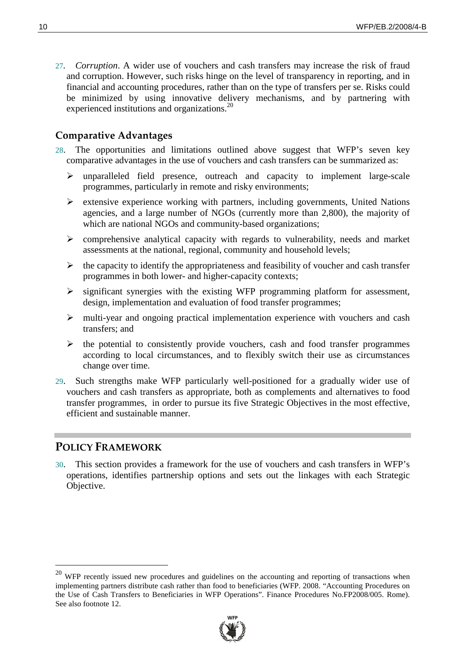27*. Corruption*. A wider use of vouchers and cash transfers may increase the risk of fraud and corruption. However, such risks hinge on the level of transparency in reporting, and in financial and accounting procedures, rather than on the type of transfers per se. Risks could be minimized by using innovative delivery mechanisms, and by partnering with experienced institutions and organizations.<sup>20</sup>

#### **Comparative Advantages**

- 28. The opportunities and limitations outlined above suggest that WFP's seven key comparative advantages in the use of vouchers and cash transfers can be summarized as:
	- $\triangleright$  unparalleled field presence, outreach and capacity to implement large-scale programmes, particularly in remote and risky environments;
	- $\triangleright$  extensive experience working with partners, including governments, United Nations agencies, and a large number of NGOs (currently more than 2,800), the majority of which are national NGOs and community-based organizations;
	- $\triangleright$  comprehensive analytical capacity with regards to vulnerability, needs and market assessments at the national, regional, community and household levels;
	- $\triangleright$  the capacity to identify the appropriateness and feasibility of voucher and cash transfer programmes in both lower- and higher-capacity contexts;
	- $\triangleright$  significant synergies with the existing WFP programming platform for assessment, design, implementation and evaluation of food transfer programmes;
	- $\triangleright$  multi-year and ongoing practical implementation experience with vouchers and cash transfers; and
	- $\triangleright$  the potential to consistently provide vouchers, cash and food transfer programmes according to local circumstances, and to flexibly switch their use as circumstances change over time.
- 29. Such strengths make WFP particularly well-positioned for a gradually wider use of vouchers and cash transfers as appropriate, both as complements and alternatives to food transfer programmes, in order to pursue its five Strategic Objectives in the most effective, efficient and sustainable manner.

#### **POLICY FRAMEWORK**

30. This section provides a framework for the use of vouchers and cash transfers in WFP's operations, identifies partnership options and sets out the linkages with each Strategic Objective.

<sup>&</sup>lt;sup>20</sup> WFP recently issued new procedures and guidelines on the accounting and reporting of transactions when implementing partners distribute cash rather than food to beneficiaries (WFP. 2008. "Accounting Procedures on the Use of Cash Transfers to Beneficiaries in WFP Operations". Finance Procedures No.FP2008/005. Rome). See also footnote 12.

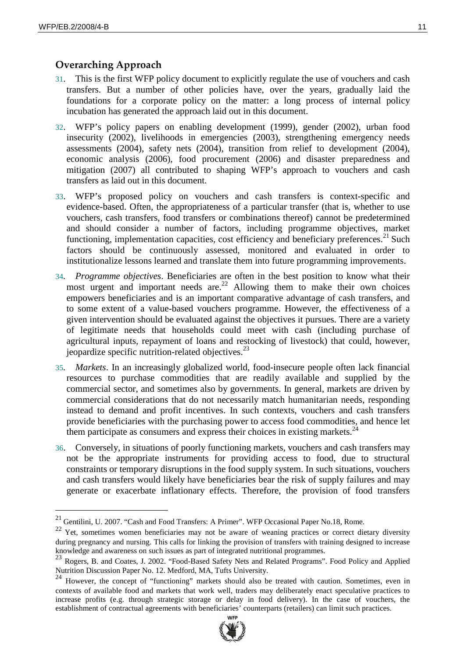#### $\bf{O}$ verarching Approach

- 31. This is the first WFP policy document to explicitly regulate the use of vouchers and cash transfers. But a number of other policies have, over the years, gradually laid the foundations for a corporate policy on the matter: a long process of internal policy incubation has generated the approach laid out in this document.
- 32. WFP's policy papers on enabling development (1999), gender (2002), urban food insecurity (2002), livelihoods in emergencies (2003), strengthening emergency needs assessments (2004), safety nets (2004), transition from relief to development (2004), economic analysis (2006), food procurement (2006) and disaster preparedness and mitigation (2007) all contributed to shaping WFP's approach to vouchers and cash transfers as laid out in this document.
- 33. WFP's proposed policy on vouchers and cash transfers is context-specific and evidence-based. Often, the appropriateness of a particular transfer (that is, whether to use vouchers, cash transfers, food transfers or combinations thereof) cannot be predetermined and should consider a number of factors, including programme objectives, market functioning, implementation capacities, cost efficiency and beneficiary preferences.<sup>21</sup> Such factors should be continuously assessed, monitored and evaluated in order to institutionalize lessons learned and translate them into future programming improvements.
- 34*. Programme objectives*. Beneficiaries are often in the best position to know what their most urgent and important needs are.<sup>22</sup> Allowing them to make their own choices empowers beneficiaries and is an important comparative advantage of cash transfers, and to some extent of a value-based vouchers programme. However, the effectiveness of a given intervention should be evaluated against the objectives it pursues. There are a variety of legitimate needs that households could meet with cash (including purchase of agricultural inputs, repayment of loans and restocking of livestock) that could, however, jeopardize specific nutrition-related objectives.<sup>23</sup>
- 35*. Markets*. In an increasingly globalized world, food-insecure people often lack financial resources to purchase commodities that are readily available and supplied by the commercial sector, and sometimes also by governments. In general, markets are driven by commercial considerations that do not necessarily match humanitarian needs, responding instead to demand and profit incentives. In such contexts, vouchers and cash transfers provide beneficiaries with the purchasing power to access food commodities, and hence let them participate as consumers and express their choices in existing markets.<sup>24</sup>
- 36. Conversely, in situations of poorly functioning markets, vouchers and cash transfers may not be the appropriate instruments for providing access to food, due to structural constraints or temporary disruptions in the food supply system. In such situations, vouchers and cash transfers would likely have beneficiaries bear the risk of supply failures and may generate or exacerbate inflationary effects. Therefore, the provision of food transfers

<sup>&</sup>lt;sup>24</sup> However, the concept of "functioning" markets should also be treated with caution. Sometimes, even in contexts of available food and markets that work well, traders may deliberately enact speculative practices to increase profits (e.g. through strategic storage or delay in food delivery). In the case of vouchers, the establishment of contractual agreements with beneficiaries' counterparts (retailers) can limit such practices.



<sup>&</sup>lt;sup>21</sup> Gentilini, U. 2007. "Cash and Food Transfers: A Primer". WFP Occasional Paper No.18, Rome.

<sup>&</sup>lt;sup>22</sup> Yet, sometimes women beneficiaries may not be aware of weaning practices or correct dietary diversity during pregnancy and nursing. This calls for linking the provision of transfers with training designed to increase knowledge and awareness on such issues as part of integrated nutritional programmes.

<sup>&</sup>lt;sup>23</sup> Rogers, B. and Coates, J. 2002. "Food-Based Safety Nets and Related Programs". Food Policy and Applied Nutrition Discussion Paper No. 12. Medford, MA, Tufts University.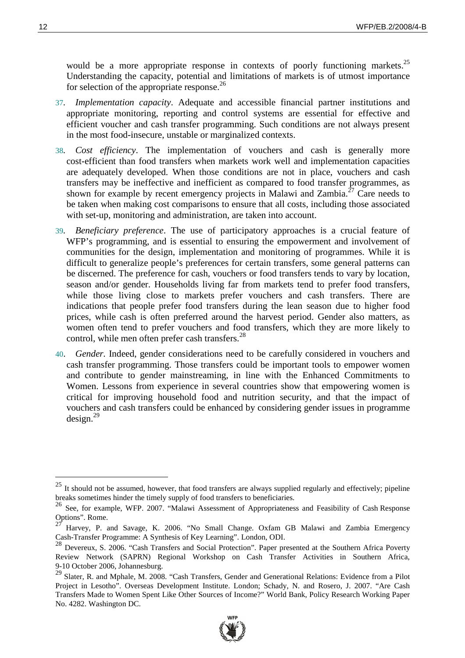would be a more appropriate response in contexts of poorly functioning markets.<sup>25</sup> Understanding the capacity, potential and limitations of markets is of utmost importance for selection of the appropriate response.<sup>26</sup>

- 37*. Implementation capacity*. Adequate and accessible financial partner institutions and appropriate monitoring, reporting and control systems are essential for effective and efficient voucher and cash transfer programming. Such conditions are not always present in the most food-insecure, unstable or marginalized contexts.
- 38*. Cost efficiency*. The implementation of vouchers and cash is generally more cost-efficient than food transfers when markets work well and implementation capacities are adequately developed. When those conditions are not in place, vouchers and cash transfers may be ineffective and inefficient as compared to food transfer programmes, as shown for example by recent emergency projects in Malawi and Zambia.<sup>27</sup> Care needs to be taken when making cost comparisons to ensure that all costs, including those associated with set-up, monitoring and administration, are taken into account.
- 39*. Beneficiary preference*. The use of participatory approaches is a crucial feature of WFP's programming, and is essential to ensuring the empowerment and involvement of communities for the design, implementation and monitoring of programmes. While it is difficult to generalize people's preferences for certain transfers, some general patterns can be discerned. The preference for cash, vouchers or food transfers tends to vary by location, season and/or gender. Households living far from markets tend to prefer food transfers, while those living close to markets prefer vouchers and cash transfers. There are indications that people prefer food transfers during the lean season due to higher food prices, while cash is often preferred around the harvest period. Gender also matters, as women often tend to prefer vouchers and food transfers, which they are more likely to control, while men often prefer cash transfers. $^{28}$
- 40. *Gender.* Indeed, gender considerations need to be carefully considered in vouchers and cash transfer programming. Those transfers could be important tools to empower women and contribute to gender mainstreaming, in line with the Enhanced Commitments to Women. Lessons from experience in several countries show that empowering women is critical for improving household food and nutrition security, and that the impact of vouchers and cash transfers could be enhanced by considering gender issues in programme  $design.<sup>29</sup>$

<sup>29</sup> Slater, R. and Mphale, M. 2008. "Cash Transfers, Gender and Generational Relations: Evidence from a Pilot Project in Lesotho". Overseas Development Institute. London; Schady, N. and Rosero, J. 2007. "Are Cash Transfers Made to Women Spent Like Other Sources of Income?" World Bank, Policy Research Working Paper No. 4282. Washington DC.



 $^{25}$  It should not be assumed, however, that food transfers are always supplied regularly and effectively; pipeline breaks sometimes hinder the timely supply of food transfers to beneficiaries.

<sup>26</sup> See, for example, WFP. 2007. "Malawi Assessment of Appropriateness and Feasibility of Cash Response Options". Rome.

<sup>27</sup> Harvey, P. and Savage, K. 2006. "No Small Change. Oxfam GB Malawi and Zambia Emergency Cash-Transfer Programme: A Synthesis of Key Learning". London, ODI.

<sup>28</sup> Devereux, S. 2006. "Cash Transfers and Social Protection". Paper presented at the Southern Africa Poverty Review Network (SAPRN) Regional Workshop on Cash Transfer Activities in Southern Africa, 9-10 October 2006, Johannesburg.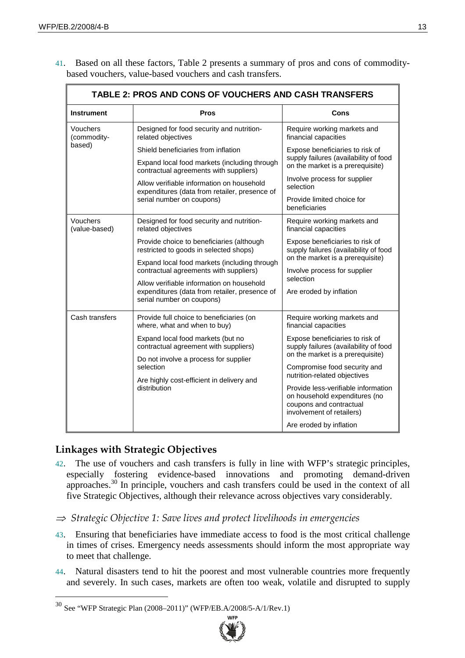| 41. Based on all these factors, Table 2 presents a summary of pros and cons of commodity- |  |  |
|-------------------------------------------------------------------------------------------|--|--|
| based vouchers, value-based vouchers and cash transfers.                                  |  |  |

| TABLE 2: PROS AND CONS OF VOUCHERS AND CASH TRANSFERS |                                                                                                 |                                                                                                                              |  |
|-------------------------------------------------------|-------------------------------------------------------------------------------------------------|------------------------------------------------------------------------------------------------------------------------------|--|
| <b>Instrument</b>                                     | <b>Pros</b>                                                                                     | Cons                                                                                                                         |  |
| Vouchers<br>(commodity-<br>based)                     | Designed for food security and nutrition-<br>related objectives                                 | Require working markets and<br>financial capacities                                                                          |  |
|                                                       | Shield beneficiaries from inflation                                                             | Expose beneficiaries to risk of                                                                                              |  |
|                                                       | Expand local food markets (including through<br>contractual agreements with suppliers)          | supply failures (availability of food<br>on the market is a prerequisite)                                                    |  |
|                                                       | Allow verifiable information on household<br>expenditures (data from retailer, presence of      | Involve process for supplier<br>selection                                                                                    |  |
|                                                       | serial number on coupons)                                                                       | Provide limited choice for<br>beneficiaries                                                                                  |  |
| Vouchers<br>(value-based)                             | Designed for food security and nutrition-<br>related objectives                                 | Require working markets and<br>financial capacities                                                                          |  |
|                                                       | Provide choice to beneficiaries (although<br>restricted to goods in selected shops)             | Expose beneficiaries to risk of<br>supply failures (availability of food                                                     |  |
|                                                       | Expand local food markets (including through<br>contractual agreements with suppliers)          | on the market is a prerequisite)                                                                                             |  |
|                                                       | Allow verifiable information on household                                                       | Involve process for supplier<br>selection                                                                                    |  |
|                                                       | expenditures (data from retailer, presence of<br>serial number on coupons)                      | Are eroded by inflation                                                                                                      |  |
| Cash transfers                                        | Provide full choice to beneficiaries (on<br>where, what and when to buy)                        | Require working markets and<br>financial capacities                                                                          |  |
|                                                       | Expand local food markets (but no<br>contractual agreement with suppliers)                      | Expose beneficiaries to risk of<br>supply failures (availability of food                                                     |  |
|                                                       | Do not involve a process for supplier<br>selection<br>Are highly cost-efficient in delivery and | on the market is a prerequisite)<br>Compromise food security and                                                             |  |
|                                                       |                                                                                                 | nutrition-related objectives                                                                                                 |  |
|                                                       | distribution                                                                                    | Provide less-verifiable information<br>on household expenditures (no<br>coupons and contractual<br>involvement of retailers) |  |
|                                                       |                                                                                                 | Are eroded by inflation                                                                                                      |  |

### **Linkages with Strategic Objectives**

- 42. The use of vouchers and cash transfers is fully in line with WFP's strategic principles, especially fostering evidence-based innovations and promoting demand-driven approaches.30 In principle, vouchers and cash transfers could be used in the context of all five Strategic Objectives, although their relevance across objectives vary considerably.
- $\Rightarrow$  Strategic Objective 1: Save lives and protect livelihoods in emergencies
- 43. Ensuring that beneficiaries have immediate access to food is the most critical challenge in times of crises. Emergency needs assessments should inform the most appropriate way to meet that challenge.
- 44. Natural disasters tend to hit the poorest and most vulnerable countries more frequently and severely. In such cases, markets are often too weak, volatile and disrupted to supply

<sup>30</sup> See "WFP Strategic Plan (2008–2011)" (WFP/EB.A/2008/5-A/1/Rev.1)

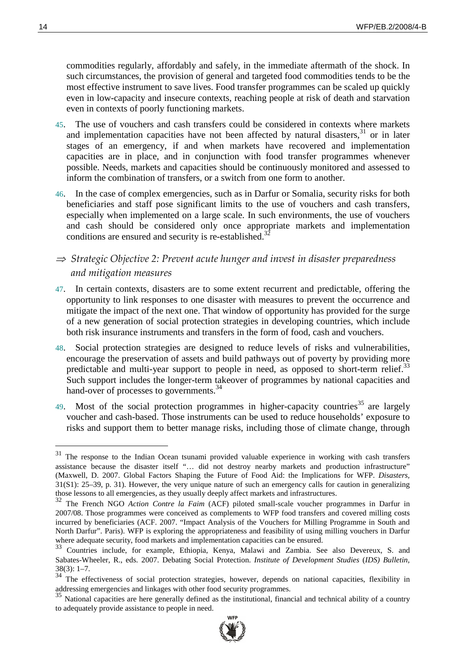commodities regularly, affordably and safely, in the immediate aftermath of the shock. In such circumstances, the provision of general and targeted food commodities tends to be the most effective instrument to save lives. Food transfer programmes can be scaled up quickly even in low-capacity and insecure contexts, reaching people at risk of death and starvation even in contexts of poorly functioning markets.

- 45. The use of vouchers and cash transfers could be considered in contexts where markets and implementation capacities have not been affected by natural disasters,<sup>31</sup> or in later stages of an emergency, if and when markets have recovered and implementation capacities are in place, and in conjunction with food transfer programmes whenever possible. Needs, markets and capacities should be continuously monitored and assessed to inform the combination of transfers, or a switch from one form to another.
- 46. In the case of complex emergencies, such as in Darfur or Somalia, security risks for both beneficiaries and staff pose significant limits to the use of vouchers and cash transfers, especially when implemented on a large scale. In such environments, the use of vouchers and cash should be considered only once appropriate markets and implementation conditions are ensured and security is re-established.<sup>3</sup>
- $\Rightarrow$  Strategic Objective 2: Prevent acute hunger and invest in disaster preparedness and mitigation measures
- 47. In certain contexts, disasters are to some extent recurrent and predictable, offering the opportunity to link responses to one disaster with measures to prevent the occurrence and mitigate the impact of the next one. That window of opportunity has provided for the surge of a new generation of social protection strategies in developing countries, which include both risk insurance instruments and transfers in the form of food, cash and vouchers.
- 48. Social protection strategies are designed to reduce levels of risks and vulnerabilities, encourage the preservation of assets and build pathways out of poverty by providing more predictable and multi-year support to people in need, as opposed to short-term relief.<sup>33</sup> Such support includes the longer-term takeover of programmes by national capacities and hand-over of processes to governments.<sup>34</sup>
- 49. Most of the social protection programmes in higher-capacity countries<sup>35</sup> are largely voucher and cash-based. Those instruments can be used to reduce households' exposure to risks and support them to better manage risks, including those of climate change, through

<sup>&</sup>lt;sup>35</sup> National capacities are here generally defined as the institutional, financial and technical ability of a country to adequately provide assistance to people in need.



<sup>&</sup>lt;sup>31</sup> The response to the Indian Ocean tsunami provided valuable experience in working with cash transfers assistance because the disaster itself "… did not destroy nearby markets and production infrastructure" (Maxwell, D. 2007. Global Factors Shaping the Future of Food Aid: the Implications for WFP. *Disasters,*  $31(S1)$ :  $25-39$ , p. 31). However, the very unique nature of such an emergency calls for caution in generalizing those lessons to all emergencies, as they usually deeply affect markets and infrastructures.

<sup>&</sup>lt;sup>32</sup> The French NGO *Action Contre la Faim* (ACF) piloted small-scale voucher programmes in Darfur in 2007/08. Those programmes were conceived as complements to WFP food transfers and covered milling costs incurred by beneficiaries (ACF. 2007. "Impact Analysis of the Vouchers for Milling Programme in South and North Darfur". Paris). WFP is exploring the appropriateness and feasibility of using milling vouchers in Darfur where adequate security, food markets and implementation capacities can be ensured.

<sup>33</sup> Countries include, for example, Ethiopia, Kenya, Malawi and Zambia. See also Devereux, S. and Sabates-Wheeler, R., eds. 2007. Debating Social Protection. *Institute of Development Studies* (*IDS) Bulletin,*  $38(3): 1-7.$ 

<sup>&</sup>lt;sup>34</sup> The effectiveness of social protection strategies, however, depends on national capacities, flexibility in addressing emergencies and linkages with other food security programmes.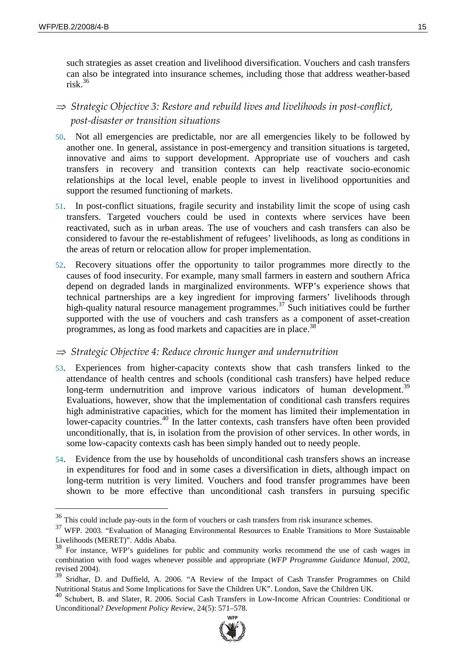such strategies as asset creation and livelihood diversification. Vouchers and cash transfers can also be integrated into insurance schemes, including those that address weather-based risk  $36$ 

## $\Rightarrow$  Strategic Objective 3: Restore and rebuild lives and livelihoods in post-conflict, post-disaster or transition situations

- 50. Not all emergencies are predictable, nor are all emergencies likely to be followed by another one. In general, assistance in post-emergency and transition situations is targeted, innovative and aims to support development. Appropriate use of vouchers and cash transfers in recovery and transition contexts can help reactivate socio-economic relationships at the local level, enable people to invest in livelihood opportunities and support the resumed functioning of markets.
- 51. In post-conflict situations, fragile security and instability limit the scope of using cash transfers. Targeted vouchers could be used in contexts where services have been reactivated, such as in urban areas. The use of vouchers and cash transfers can also be considered to favour the re-establishment of refugees' livelihoods, as long as conditions in the areas of return or relocation allow for proper implementation.
- 52. Recovery situations offer the opportunity to tailor programmes more directly to the causes of food insecurity. For example, many small farmers in eastern and southern Africa depend on degraded lands in marginalized environments. WFP's experience shows that technical partnerships are a key ingredient for improving farmers' livelihoods through high-quality natural resource management programmes.<sup>37</sup> Such initiatives could be further supported with the use of vouchers and cash transfers as a component of asset-creation programmes, as long as food markets and capacities are in place.<sup>38</sup>

#### $\Rightarrow$  Strategic Objective 4: Reduce chronic hunger and undernutrition

- 53. Experiences from higher-capacity contexts show that cash transfers linked to the attendance of health centres and schools (conditional cash transfers) have helped reduce long-term undernutrition and improve various indicators of human development.<sup>39</sup> Evaluations, however, show that the implementation of conditional cash transfers requires high administrative capacities, which for the moment has limited their implementation in lower-capacity countries.<sup>40</sup> In the latter contexts, cash transfers have often been provided unconditionally, that is, in isolation from the provision of other services. In other words, in some low-capacity contexts cash has been simply handed out to needy people.
- 54. Evidence from the use by households of unconditional cash transfers shows an increase in expenditures for food and in some cases a diversification in diets, although impact on long-term nutrition is very limited. Vouchers and food transfer programmes have been shown to be more effective than unconditional cash transfers in pursuing specific

<sup>40</sup> Schubert, B. and Slater, R. 2006. Social Cash Transfers in Low-Income African Countries: Conditional or Unconditional? *Development Policy Review*, 24(5): 571–578.



<sup>&</sup>lt;sup>36</sup> This could include pay-outs in the form of vouchers or cash transfers from risk insurance schemes.

<sup>&</sup>lt;sup>37</sup> WFP. 2003. "Evaluation of Managing Environmental Resources to Enable Transitions to More Sustainable Livelihoods (MERET)". Addis Ababa.

<sup>38</sup> For instance, WFP's guidelines for public and community works recommend the use of cash wages in combination with food wages whenever possible and appropriate (*WFP Programme Guidance Manual*, 2002, revised 2004).

<sup>&</sup>lt;sup>39</sup> Sridhar, D. and Duffield, A. 2006. "A Review of the Impact of Cash Transfer Programmes on Child Nutritional Status and Some Implications for Save the Children UK". London, Save the Children UK.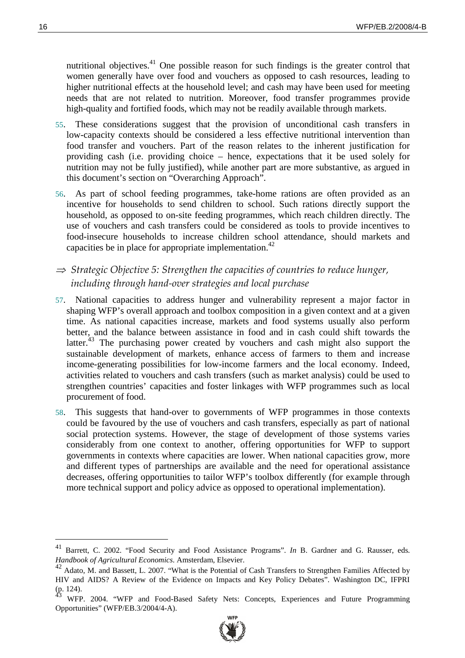nutritional objectives.<sup>41</sup> One possible reason for such findings is the greater control that women generally have over food and vouchers as opposed to cash resources, leading to higher nutritional effects at the household level; and cash may have been used for meeting needs that are not related to nutrition. Moreover, food transfer programmes provide high-quality and fortified foods, which may not be readily available through markets.

- 55. These considerations suggest that the provision of unconditional cash transfers in low-capacity contexts should be considered a less effective nutritional intervention than food transfer and vouchers. Part of the reason relates to the inherent justification for providing cash (i.e. providing choice – hence, expectations that it be used solely for nutrition may not be fully justified), while another part are more substantive, as argued in this document's section on "Overarching Approach".
- 56. As part of school feeding programmes, take-home rations are often provided as an incentive for households to send children to school. Such rations directly support the household, as opposed to on-site feeding programmes, which reach children directly. The use of vouchers and cash transfers could be considered as tools to provide incentives to food-insecure households to increase children school attendance, should markets and capacities be in place for appropriate implementation.<sup>42</sup>
- $\Rightarrow$  Strategic Objective 5: Strengthen the capacities of countries to reduce hunger, including through hand-over strategies and local purchase
- 57. National capacities to address hunger and vulnerability represent a major factor in shaping WFP's overall approach and toolbox composition in a given context and at a given time. As national capacities increase, markets and food systems usually also perform better, and the balance between assistance in food and in cash could shift towards the latter.<sup>43</sup> The purchasing power created by vouchers and cash might also support the sustainable development of markets, enhance access of farmers to them and increase income-generating possibilities for low-income farmers and the local economy. Indeed, activities related to vouchers and cash transfers (such as market analysis) could be used to strengthen countries' capacities and foster linkages with WFP programmes such as local procurement of food.
- 58. This suggests that hand-over to governments of WFP programmes in those contexts could be favoured by the use of vouchers and cash transfers, especially as part of national social protection systems. However, the stage of development of those systems varies considerably from one context to another, offering opportunities for WFP to support governments in contexts where capacities are lower. When national capacities grow, more and different types of partnerships are available and the need for operational assistance decreases, offering opportunities to tailor WFP's toolbox differently (for example through more technical support and policy advice as opposed to operational implementation).

WFP. 2004. "WFP and Food-Based Safety Nets: Concepts, Experiences and Future Programming Opportunities" (WFP/EB.3/2004/4-A).



<sup>41</sup> Barrett, C. 2002. "Food Security and Food Assistance Programs". *In* B. Gardner and G. Rausser, eds. *Handbook of Agricultural Economics*. Amsterdam, Elsevier.

<sup>&</sup>lt;sup>42</sup> Adato, M. and Bassett, L. 2007. "What is the Potential of Cash Transfers to Strengthen Families Affected by HIV and AIDS? A Review of the Evidence on Impacts and Key Policy Debates". Washington DC, IFPRI  $(p. 124).$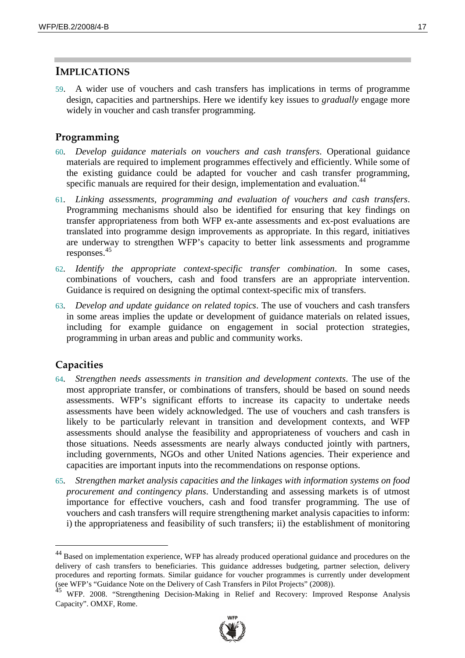## **IMPLICATIONS**

59. A wider use of vouchers and cash transfers has implications in terms of programme design, capacities and partnerships. Here we identify key issues to *gradually* engage more widely in voucher and cash transfer programming.

#### Programming

- 60*. Develop guidance materials on vouchers and cash transfers*. Operational guidance materials are required to implement programmes effectively and efficiently. While some of the existing guidance could be adapted for voucher and cash transfer programming, specific manuals are required for their design, implementation and evaluation.<sup>44</sup>
- 61*. Linking assessments, programming and evaluation of vouchers and cash transfers*. Programming mechanisms should also be identified for ensuring that key findings on transfer appropriateness from both WFP ex-ante assessments and ex-post evaluations are translated into programme design improvements as appropriate. In this regard, initiatives are underway to strengthen WFP's capacity to better link assessments and programme responses.<sup>45</sup>
- 62*. Identify the appropriate context-specific transfer combination*. In some cases, combinations of vouchers, cash and food transfers are an appropriate intervention. Guidance is required on designing the optimal context-specific mix of transfers.
- 63*. Develop and update guidance on related topics*. The use of vouchers and cash transfers in some areas implies the update or development of guidance materials on related issues, including for example guidance on engagement in social protection strategies, programming in urban areas and public and community works.

#### **Capacities**

- 64*. Strengthen needs assessments in transition and development contexts*. The use of the most appropriate transfer, or combinations of transfers, should be based on sound needs assessments. WFP's significant efforts to increase its capacity to undertake needs assessments have been widely acknowledged. The use of vouchers and cash transfers is likely to be particularly relevant in transition and development contexts, and WFP assessments should analyse the feasibility and appropriateness of vouchers and cash in those situations. Needs assessments are nearly always conducted jointly with partners, including governments, NGOs and other United Nations agencies. Their experience and capacities are important inputs into the recommendations on response options.
- 65*. Strengthen market analysis capacities and the linkages with information systems on food procurement and contingency plans*. Understanding and assessing markets is of utmost importance for effective vouchers, cash and food transfer programming. The use of vouchers and cash transfers will require strengthening market analysis capacities to inform: i) the appropriateness and feasibility of such transfers; ii) the establishment of monitoring

 $45$  WFP. 2008. "Strengthening Decision-Making in Relief and Recovery: Improved Response Analysis Capacity". OMXF, Rome.



<sup>44</sup> Based on implementation experience, WFP has already produced operational guidance and procedures on the delivery of cash transfers to beneficiaries. This guidance addresses budgeting, partner selection, delivery procedures and reporting formats. Similar guidance for voucher programmes is currently under development (see WFP's "Guidance Note on the Delivery of Cash Transfers in Pilot Projects" (2008)).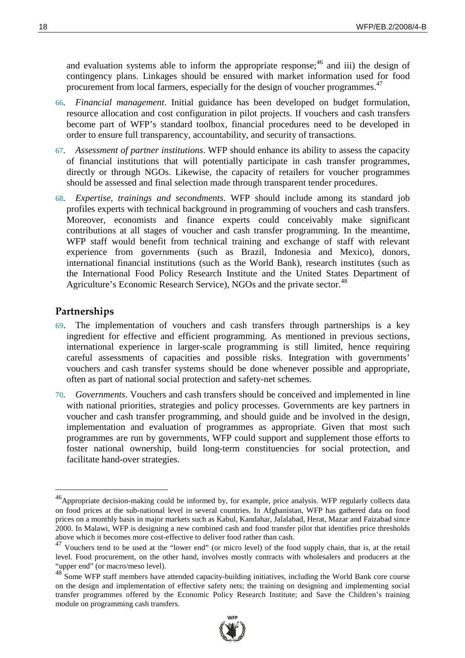and evaluation systems able to inform the appropriate response;<sup>46</sup> and iii) the design of contingency plans. Linkages should be ensured with market information used for food procurement from local farmers, especially for the design of voucher programmes.<sup>47</sup>

- 66*. Financial management*. Initial guidance has been developed on budget formulation, resource allocation and cost configuration in pilot projects. If vouchers and cash transfers become part of WFP's standard toolbox, financial procedures need to be developed in order to ensure full transparency, accountability, and security of transactions.
- 67*. Assessment of partner institutions*. WFP should enhance its ability to assess the capacity of financial institutions that will potentially participate in cash transfer programmes, directly or through NGOs. Likewise, the capacity of retailers for voucher programmes should be assessed and final selection made through transparent tender procedures.
- 68*. Expertise, trainings and secondments*. WFP should include among its standard job profiles experts with technical background in programming of vouchers and cash transfers. Moreover, economists and finance experts could conceivably make significant contributions at all stages of voucher and cash transfer programming. In the meantime, WFP staff would benefit from technical training and exchange of staff with relevant experience from governments (such as Brazil, Indonesia and Mexico), donors, international financial institutions (such as the World Bank), research institutes (such as the International Food Policy Research Institute and the United States Department of Agriculture's Economic Research Service), NGOs and the private sector.<sup>48</sup>

#### **Partnerships**

- 69. The implementation of vouchers and cash transfers through partnerships is a key ingredient for effective and efficient programming. As mentioned in previous sections, international experience in larger-scale programming is still limited, hence requiring careful assessments of capacities and possible risks. Integration with governments' vouchers and cash transfer systems should be done whenever possible and appropriate, often as part of national social protection and safety-net schemes.
- 70*. Governments*. Vouchers and cash transfers should be conceived and implemented in line with national priorities, strategies and policy processes. Governments are key partners in voucher and cash transfer programming, and should guide and be involved in the design, implementation and evaluation of programmes as appropriate. Given that most such programmes are run by governments, WFP could support and supplement those efforts to foster national ownership, build long-term constituencies for social protection, and facilitate hand-over strategies.

<sup>&</sup>lt;sup>48</sup> Some WFP staff members have attended capacity-building initiatives, including the World Bank core course on the design and implementation of effective safety nets; the training on designing and implementing social transfer programmes offered by the Economic Policy Research Institute; and Save the Children's training module on programming cash transfers.



<sup>&</sup>lt;sup>46</sup>Appropriate decision-making could be informed by, for example, price analysis. WFP regularly collects data on food prices at the sub-national level in several countries. In Afghanistan, WFP has gathered data on food prices on a monthly basis in major markets such as Kabul, Kandahar, Jalalabad, Herat, Mazar and Faizabad since 2000. In Malawi, WFP is designing a new combined cash and food transfer pilot that identifies price thresholds above which it becomes more cost-effective to deliver food rather than cash.

<sup>47</sup> Vouchers tend to be used at the "lower end" (or micro level) of the food supply chain, that is, at the retail level. Food procurement, on the other hand, involves mostly contracts with wholesalers and producers at the "upper end" (or macro/meso level).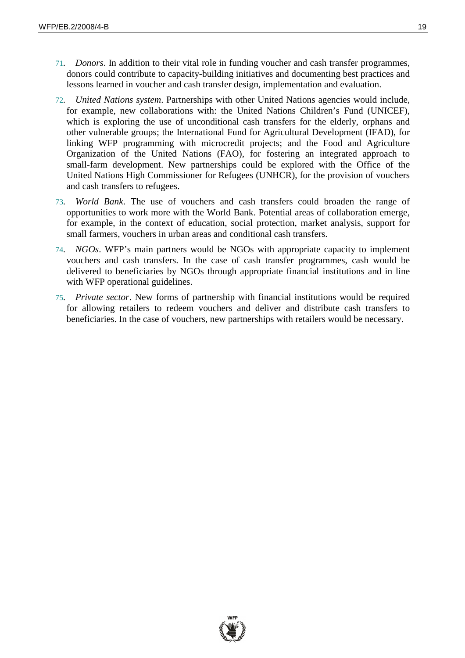- 71*. Donors*. In addition to their vital role in funding voucher and cash transfer programmes, donors could contribute to capacity-building initiatives and documenting best practices and lessons learned in voucher and cash transfer design, implementation and evaluation.
- 72*. United Nations system*. Partnerships with other United Nations agencies would include, for example, new collaborations with: the United Nations Children's Fund (UNICEF), which is exploring the use of unconditional cash transfers for the elderly, orphans and other vulnerable groups; the International Fund for Agricultural Development (IFAD), for linking WFP programming with microcredit projects; and the Food and Agriculture Organization of the United Nations (FAO), for fostering an integrated approach to small-farm development. New partnerships could be explored with the Office of the United Nations High Commissioner for Refugees (UNHCR), for the provision of vouchers and cash transfers to refugees.
- 73*. World Bank*. The use of vouchers and cash transfers could broaden the range of opportunities to work more with the World Bank. Potential areas of collaboration emerge, for example, in the context of education, social protection, market analysis, support for small farmers, vouchers in urban areas and conditional cash transfers.
- 74*. NGOs*. WFP's main partners would be NGOs with appropriate capacity to implement vouchers and cash transfers. In the case of cash transfer programmes, cash would be delivered to beneficiaries by NGOs through appropriate financial institutions and in line with WFP operational guidelines.
- 75*. Private sector*. New forms of partnership with financial institutions would be required for allowing retailers to redeem vouchers and deliver and distribute cash transfers to beneficiaries. In the case of vouchers, new partnerships with retailers would be necessary.